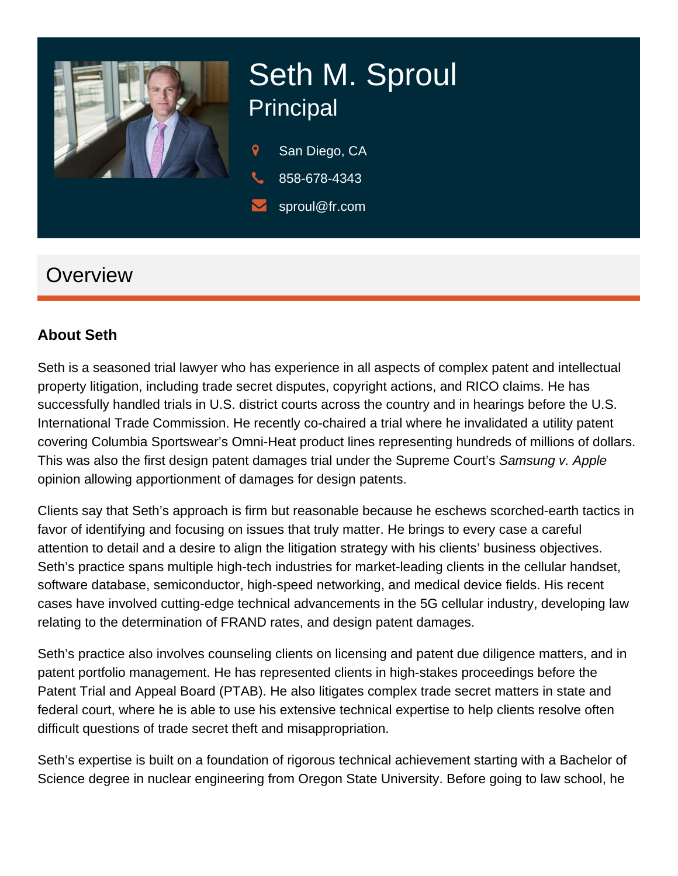# Seth M. Sproul **Principal**

San Diego, CA 858-678-4343 sproul@fr.com

## **Overview**

#### About Seth

Seth is a seasoned trial lawyer who has experience in all aspects of complex [patent and intellectual](https://www.fr.com/services/litigation/patent/)  [property litigation](https://www.fr.com/services/litigation/patent/), including [trade secret disputes](https://www.fr.com/services/litigation/trade-secret/), [copyright actions,](https://www.fr.com/services/litigation/trademark-copyright-media-litigation/) and RICO claims. He has successfully handled trials in U.S. district courts across the country and in hearings before the U.S. International Trade Commission. He recently co-chaired a trial where he invalidated a utility patent covering Columbia Sportswear's Omni-Heat product lines representing hundreds of millions of dollars. This was also the first design patent damages trial under the Supreme Court's Samsung v. Apple opinion allowing apportionment of damages for design patents.

Clients say that Seth's approach is firm but reasonable because he eschews scorched-earth tactics in favor of identifying and focusing on issues that truly matter. He brings to every case a careful attention to detail and a desire to align the litigation strategy with his clients' business objectives. Seth's practice spans multiple high-tech industries for market-leading clients in the cellular handset, software database, semiconductor, high-speed networking, and medical device fields. His recent cases have involved cutting-edge technical advancements in the 5G cellular industry, developing law relating to the determination of FRAND rates, and design patent damages.

Seth's practice also involves counseling clients on licensing and patent due diligence matters, and in patent portfolio management. He has represented clients in high-stakes proceedings before the Patent Trial and Appeal Board (PTAB). He also litigates complex trade secret matters in state and federal court, where he is able to use his extensive technical expertise to help clients resolve often difficult questions of trade secret theft and misappropriation.

Seth's expertise is built on a foundation of rigorous technical achievement starting with a Bachelor of Science degree in nuclear engineering from Oregon State University. Before going to law school, he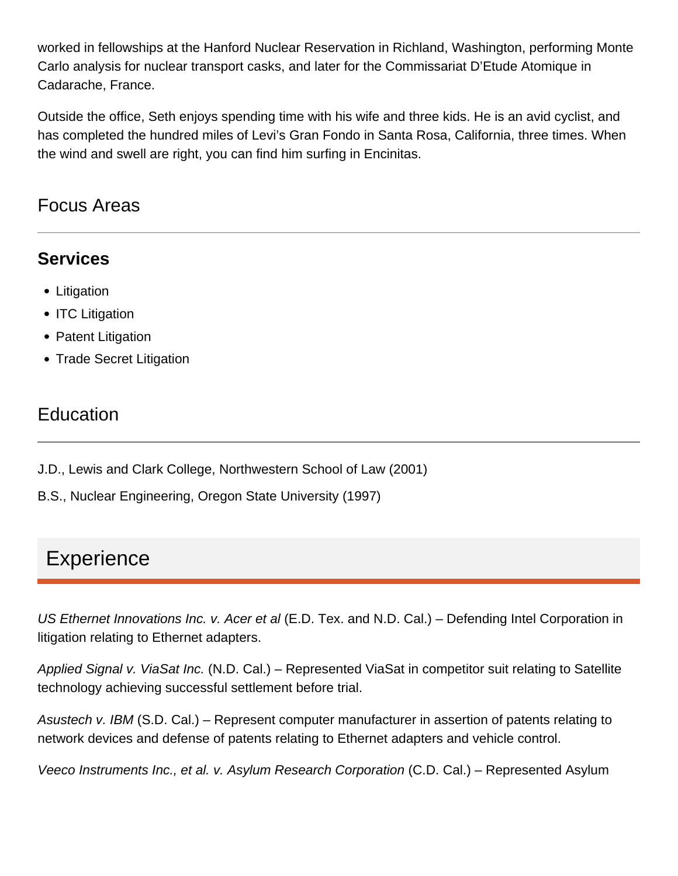worked in fellowships at the Hanford Nuclear Reservation in Richland, Washington, performing Monte Carlo analysis for nuclear transport casks, and later for the Commissariat D'Etude Atomique in Cadarache, France.

Outside the office, Seth enjoys spending time with his wife and three kids. He is an avid cyclist, and has completed the hundred miles of Levi's Gran Fondo in Santa Rosa, California, three times. When the wind and swell are right, you can find him surfing in Encinitas.

#### Focus Areas

#### **Services**

- Litigation
- ITC Litigation
- Patent Litigation
- Trade Secret Litigation

## **Education**

- J.D., Lewis and Clark College, Northwestern School of Law (2001)
- B.S., Nuclear Engineering, Oregon State University (1997)

# **Experience**

US Ethernet Innovations Inc. v. Acer et al (E.D. Tex. and N.D. Cal.) – Defending Intel Corporation in litigation relating to Ethernet adapters.

Applied Signal v. ViaSat Inc. (N.D. Cal.) – Represented ViaSat in competitor suit relating to Satellite technology achieving successful settlement before trial.

Asustech v. IBM (S.D. Cal.) – Represent computer manufacturer in assertion of patents relating to network devices and defense of patents relating to Ethernet adapters and vehicle control.

Veeco Instruments Inc., et al. v. Asylum Research Corporation (C.D. Cal.) – Represented Asylum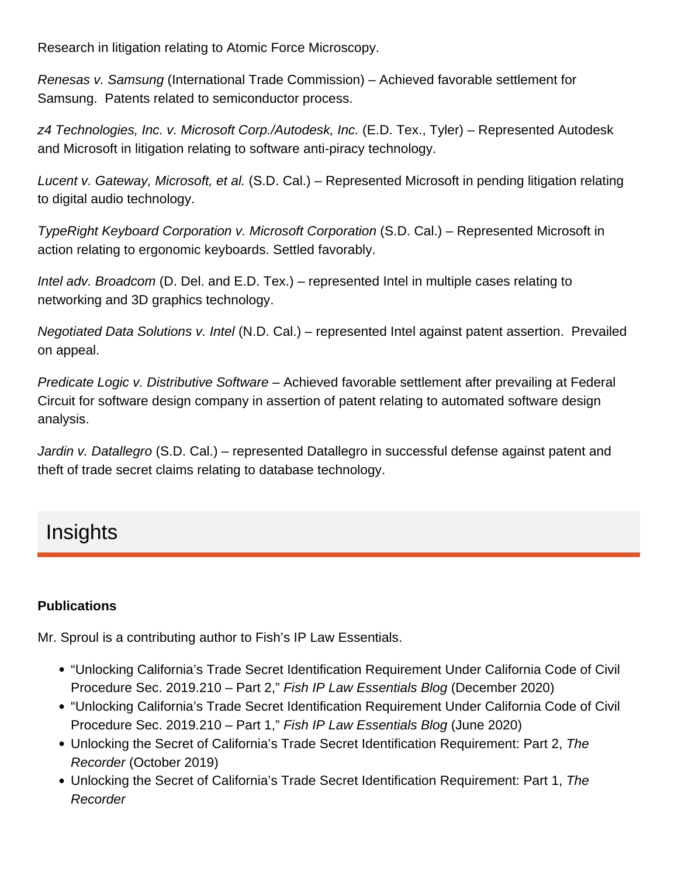Research in litigation relating to Atomic Force Microscopy.

Renesas v. Samsung (International Trade Commission) – Achieved favorable settlement for Samsung. Patents related to semiconductor process.

z4 Technologies, Inc. v. Microsoft Corp./Autodesk, Inc. (E.D. Tex., Tyler) – Represented Autodesk and Microsoft in litigation relating to software anti-piracy technology.

Lucent v. Gateway, Microsoft, et al. (S.D. Cal.) – Represented Microsoft in pending litigation relating to digital audio technology.

TypeRight Keyboard Corporation v. Microsoft Corporation (S.D. Cal.) – Represented Microsoft in action relating to ergonomic keyboards. Settled favorably.

Intel adv. Broadcom (D. Del. and E.D. Tex.) – represented Intel in multiple cases relating to networking and 3D graphics technology.

Negotiated Data Solutions v. Intel (N.D. Cal.) – represented Intel against patent assertion. Prevailed on appeal.

Predicate Logic v. Distributive Software – Achieved favorable settlement after prevailing at Federal Circuit for software design company in assertion of patent relating to automated software design analysis.

Jardin v. Datallegro (S.D. Cal.) – represented Datallegro in successful defense against patent and theft of trade secret claims relating to database technology.

## Insights

#### **Publications**

Mr. Sproul is a contributing author to [Fish's IP Law Essentials](https://www.fr.com/blogs/ip-law-essentials/).

- ["Unlocking California's Trade Secret Identification Requirement Under California Code of Civil](https://www.fr.com/unlocking-californias-trade-secret-identification-requirement-under-california-code-of-civil-procedure-sec-2019-210-part-2/)  [Procedure Sec. 2019.210 – Part 2](https://www.fr.com/unlocking-californias-trade-secret-identification-requirement-under-california-code-of-civil-procedure-sec-2019-210-part-2/)," Fish IP Law Essentials Blog (December 2020)
- ["Unlocking California's Trade Secret Identification Requirement Under California Code of Civil](https://www.fr.com/fish-litigation/unlocking-ca-trade-secret-identification-req-pt-1/)  [Procedure Sec. 2019.210 – Part 1](https://www.fr.com/fish-litigation/unlocking-ca-trade-secret-identification-req-pt-1/)," Fish IP Law Essentials Blog (June 2020)
- [Unlocking the Secret of California's Trade Secret Identification Requirement: Part 2,](https://www.law.com/therecorder/2019/10/18/unlocking-the-secret-of-californias-trade-secret-identification-requirement-part-2/?slreturn=20190921102558) The Recorder (October 2019)
- [Unlocking the Secret of California's Trade Secret Identification Requirement: Part 1,](https://www.law.com/therecorder/2019/10/11/unlocking-the-secret-of-californias-trade-secret-identification-requirement-part-1/) The Recorder